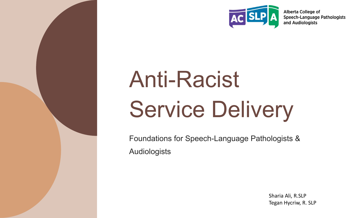

Alberta College of **Speech-Language Pathologists** and Audiologists

# Anti-Racist Service Delivery

Foundations for Speech-Language Pathologists & Audiologists

> Sharia Ali, R.SLP Tegan Hycriw, R. SLP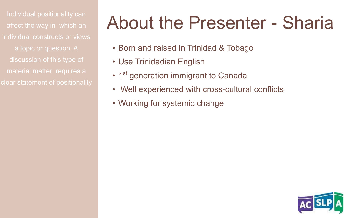affect the way in which an individual constructs or views a topic or question. A discussion of this type of material matter requires a clear statement of positionality

### Individual positionality can<br>affect the way in which an About the Presenter - Sharia

- Born and raised in Trinidad & Tobago
- Use Trinidadian English
- 1<sup>st</sup> generation immigrant to Canada
- Well experienced with cross-cultural conflicts
- Working for systemic change

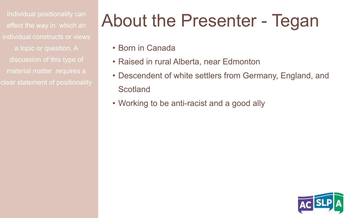affect the way in which an individual constructs or views a topic or question. A discussion of this type of material matter requires a clear statement of positionality

### Individual positionality can About the Presenter - Tegan

- Born in Canada
- Raised in rural Alberta, near Edmonton
- Descendent of white settlers from Germany, England, and Scotland
- Working to be anti-racist and a good ally

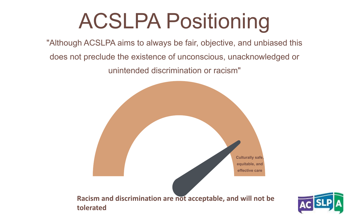## ACSLPA Positioning

"Although ACSLPA aims to always be fair, objective, and unbiased this

does not preclude the existence of unconscious, unacknowledged or

unintended discrimination or racism"



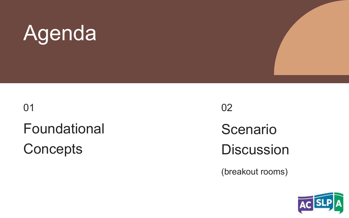## Agenda

Foundational **Concepts** 01

02

Scenario **Discussion** 

(breakout rooms)

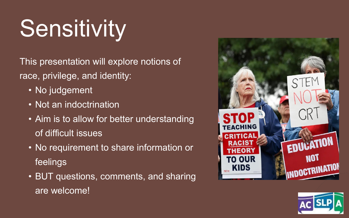# **Sensitivity**

This presentation will explore notions of race, privilege, and identity:

- No judgement
- Not an indoctrination
- Aim is to allow for better understanding of difficult issues
- No requirement to share information or feelings
- BUT questions, comments, and sharing are welcome!



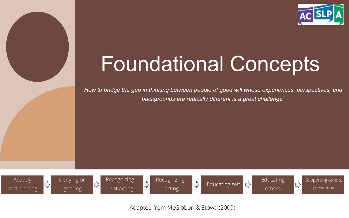

### Foundational Concepts

*How to bridge the gap in thinking between people of good will whose experiences, perspectives, and backgrounds are radically different is a great challenge<sup>1</sup>*









Educating self

 $\downarrow$ 



Supporting others, preventing

Adapted from McGibbon & Etowa (2009)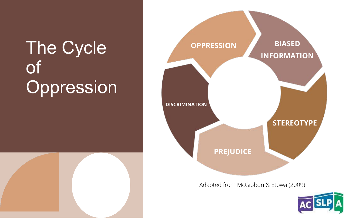### **The Cycle** of Oppression



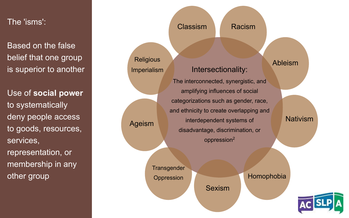The 'isms':

Based on the false belief that one group is superior to another

Use of **social power** to systematically deny people access to goods, resources, services, representation, or membership in any other group

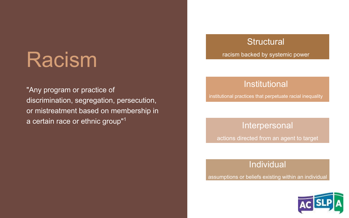### Racism

"Any program or practice of discrimination, segregation, persecution, or mistreatment based on membership in a certain race or ethnic group"<sup>1</sup>

#### **Structural**

racism backed by systemic power

#### Institutional

institutional practices that perpetuate racial inequality

Interpersonal

actions directed from an agent to target

Individual

assumptions or beliefs existing within an individual

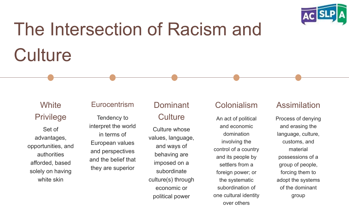

### The Intersection of Racism and **Culture**

#### **White** Privilege

Set of advantages, opportunities, and authorities afforded, based solely on having white skin

#### **Eurocentrism**

interpret the world in terms of European values and perspectives and the belief that they are superior

#### Dominant

#### Tendency to Culture

Culture whose values, language, and ways of behaving are imposed on a subordinate culture(s) through economic or political power

#### Colonialism

An act of political and economic domination involving the control of a country and its people by settlers from a foreign power; or the systematic subordination of one cultural identity over others

#### **Assimilation**

Process of denying and erasing the language, culture, customs, and material possessions of a group of people, forcing them to adopt the systems of the dominant group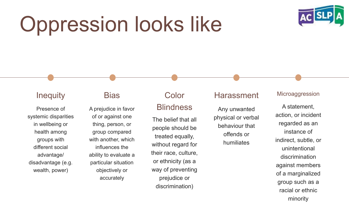### Oppression looks like



#### **Inequity**

systemic disparities in wellbeing or health among groups with different social advantage/ disadvantage (e.g. wealth, power)

#### **Bias**

Presence of A prejudice in favor Blindness of or against one thing, person, or group compared with another, which influences the ability to evaluate a particular situation objectively or accurately

### Color

The belief that all people should be treated equally, without regard for their race, culture, or ethnicity (as a way of preventing prejudice or discrimination)

#### Harassment

Any unwanted physical or verbal behaviour that offends or humiliates

#### Microaggression

A statement, action, or incident regarded as an instance of indirect, subtle, or unintentional discrimination against members of a marginalized group such as a racial or ethnic minority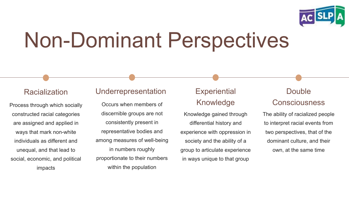

### Non-Dominant Perspectives

#### Racialization

Process through which socially constructed racial categories are assigned and applied in ways that mark non-white individuals as different and unequal, and that lead to social, economic, and political impacts

#### Underrepresentation

Occurs when members of discernible groups are not consistently present in representative bodies and among measures of well-being in numbers roughly proportionate to their numbers within the population

#### **Experiential** Knowledge

Knowledge gained through differential history and experience with oppression in society and the ability of a group to articulate experience in ways unique to that group

#### Double **Consciousness**

The ability of racialized people to interpret racial events from two perspectives, that of the dominant culture, and their own, at the same time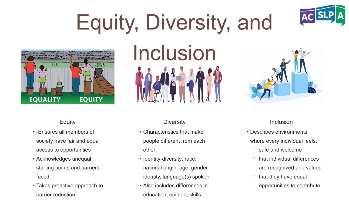# Equity, Diversity, and



#### Equity

- -Ensures all members of society have fair and equal access to opportunities
- Acknowledges unequal starting points and barriers faced
- Takes proactive approach to barrier reduction



#### **Diversity**

- Characteristics that make people different from each other
- Identity-diversity: race, national origin, age, gender identity, language(s) spoken
- Also includes differences in education, opinion, skills



#### Inclusion

- Describes environments where every individual feels:
	- ⚬ safe and welcome
	- $\circ$  that individual differences are recognized and valued
	- $\circ$  that they have equal opportunities to contribute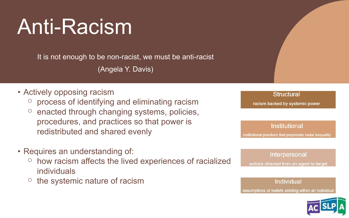### Anti-Racism

It is not enough to be non-racist, we must be anti-racist (Angela Y. Davis)

#### • Actively opposing racism

- ⚬ process of identifying and eliminating racism
- $\circ$  enacted through changing systems, policies, procedures, and practices so that power is redistributed and shared evenly
- Requires an understanding of:
	- ⚬ how racism affects the lived experiences of racialized individuals
	- ⚬ the systemic nature of racism



Individual assumptions or beliefs existing within an individual

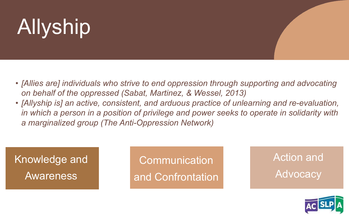# Allyship

- *• [Allies are] individuals who strive to end oppression through supporting and advocating on behalf of the oppressed (Sabat, Martinez, & Wessel, 2013)*
- *• [Allyship is] an active, consistent, and arduous practice of unlearning and re-evaluation, in which a person in a position of privilege and power seeks to operate in solidarity with a marginalized group (The Anti-Oppression Network)*

Knowledge and Awareness

**Communication** and Confrontation Action and **Advocacy** 

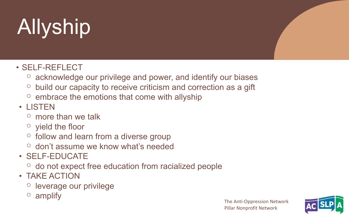# Allyship

- SELF-REFLECT
	- ⚬ acknowledge our privilege and power, and identify our biases
	- $\circ$  build our capacity to receive criticism and correction as a gift
	- $\circ$  embrace the emotions that come with allyship
- LISTEN
	- $\circ$  more than we talk
	- $\circ$  yield the floor
	- ⚬ follow and learn from a diverse group
	- ⚬ don't assume we know what's needed
- SELF-EDUCATE
	- ⚬ do not expect free education from racialized people
- TAKE ACTION
	- ⚬ leverage our privilege
	- $\circ$  amplify

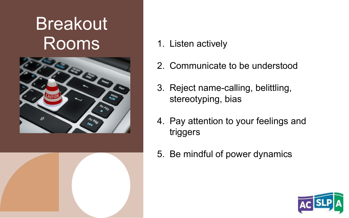### Breakout Rooms



- **OPPRESSION** 1. Listen actively
- 2. Communicate to be understood
- 3. Reject name-calling, belittling, stereotyping, bias
- 4. Pay attention to your feelings and triggers
- 5. Be mindful of power dynamics

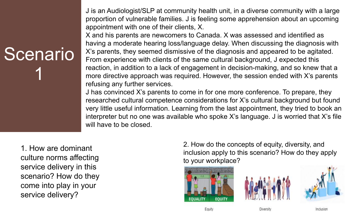J is an Audiologist/SLP at community health unit, in a diverse community with a large proportion of vulnerable families. J is feeling some apprehension about an upcoming appointment with one of their clients, X.

X's parents, they seemed dismissive of the diagnosis and appeared to be agitated. From experience with clients of the same cultural background, J expected this X and his parents are newcomers to Canada. X was assessed and identified as having a moderate hearing loss/language delay. When discussing the diagnosis with reaction, in addition to a lack of engagement in decision-making, and so knew that a more directive approach was required. However, the session ended with X's parents refusing any further services.

J has convinced X's parents to come in for one more conference. To prepare, they researched cultural competence considerations for X's cultural background but found very little useful information. Learning from the last appointment, they tried to book an interpreter but no one was available who spoke X's language. J is worried that X's file will have to be closed.

1. How are dominant culture norms affecting service delivery in this scenario? How do they come into play in your service delivery?

**Scenario** 

1

2. How do the concepts of equity, diversity, and inclusion apply to this scenario? How do they apply to your workplace?







Diversit

Inclusio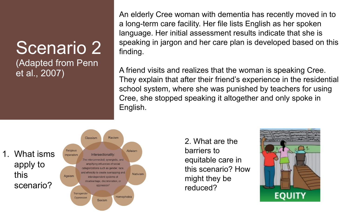## Scenario 2

(Adapted from Penn et al., 2007)

**BIASED**  An elderly Cree woman with dementia has recently moved in to a long-term care facility. Her file lists English as her spoken language. Her initial assessment results indicate that she is speaking in jargon and her care plan is developed based on this finding.

A friend visits and realizes that the woman is speaking Cree. They explain that after their friend's experience in the residential school system, where she was punished by teachers for using Cree, she stopped speaking it altogether and only spoke in English.



odio III<br>Prio<sup>0</sup> How 2. What are the barriers to equitable care in this scenario? How might they be reduced?

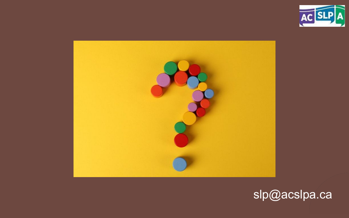



### slp@acslpa.ca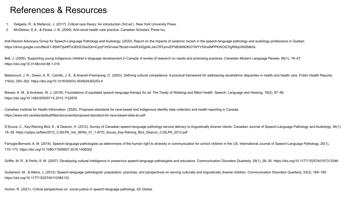#### References & Resources

- 1. Delgado, R., & Stefancic, J. (2017). Critical race theory: An introduction (3rd ed.). New York University Press.
- 2. McGibbon, E.A., & Etowa, J. B. (2009). Anti-racist health care practice. Canadian Scholars' Press Inc.

Anti-Racism Advocacy Group for Speech-Language Pathology and Audiology. (2020). Report on the impacts of systemic racism in the speech-language pathology and audiology professions in Quebec. https://drive.google.com/file/d/1-8SWTjbAff7cfJEhS35a2QrmCpqYVIGl/view?fbclid=IwAR342g04LJ4uTRTymvEPXB3kNDKi0YWYY5XreiNPPKWOG7lgRNqUWd5dk0s

Ball, J. (2009). Supporting young Indigenous children's language development in Canada: A review of research on needs and promising practices. Canadian Modern Language Review, 66(1), 19–47. https://doi.org/10.3138/cmlr.66.1.019

Betancourt, J. R., Green, A. R., Carrillo, J. E., & Ananeh-Firempong, O. (2003). Defining cultural competence: A practical framework for addressing racial/ethnic disparities in health and health care. Public Health Reports 118(4), 293–302. https://doi.org/10.1016/S0033-3549(04)50253-4

Brewer, K. M., & Andrews, W. J. (2016). Foundations of equitable speech-language therapy for all: The Treaty of Waitangi and Māori health. Speech, Language and Hearing, 19(2), 87–95. https://doi.org/10.1080/2050571X.2015.1122876

Canadian Institute for Health Information. (2020). Proposed standards for race-based and Indigenous identity data collection and health reporting in Canada. https://www.cihi.ca/sites/default/files/document/proposed-standard-for-race-based-data-en.pdf

D'Souza, C., Kay-Raining Bird, E., & Deacon, H. (2012). Survey of Canadian speech-language pathology service delivery to linguistically diverse clients. Canadian Journal of Speech-Language Pathology and Audiology, 36(1), 18–39. https://cjslpa.ca/files/2012\_CJSLPA\_Vol\_36/No\_01\_1-87/D\_Souza\_Kay-Raining\_Bird\_Deacon\_CJSLPA\_2012.pdf

Farrugia-Bernard, A. M. (2018). Speech-language pathologists as determiners of the human right to diversity in communication for school children in the US. International Journal of Speech-Language Pathology, 20(1), 170–173. https://doi.org/10.1080/17549507.2018.1406002

Griffer, M. R., & Perlis, S. M. (2007). Developing cultural intelligence in preservice speech-language pathologists and educators. Communication Disorders Quarterly, 29(1), 28–35. https://doi.org/10.1177/1525740107312546

Guiberson, M., & Atkins, J. (2012). Speech-language pathologists' preparation, practices, and perspectives on serving culturally and linguistically diverse children. Communication Disorders Quarterly, 33(3), 169–180. https://doi.org/10.1177/1525740110384132

Horton, R. (2021). Critical perspectives on social justice in speech-language pathology. IGI Global.